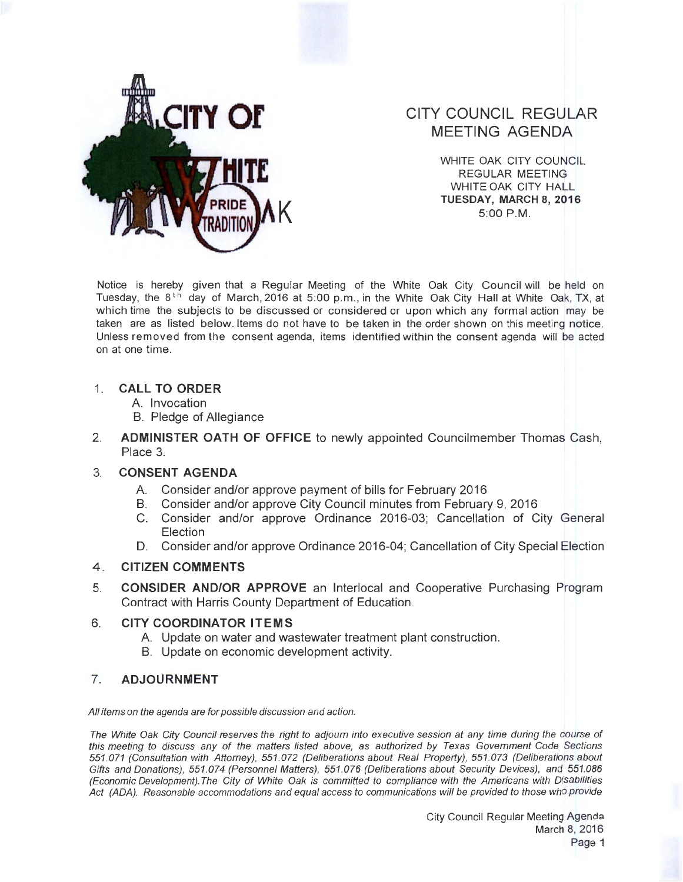

# **CITY COUNCIL REGULAR MEETING AGENDA**

WHITE OAK CITY COUNCIL REGULAR MEETING WHITE OAK CITY HALL **K TUESDAY, MARCH 8, 2016**  5:00 P.M.

Notice is hereby given that a Regular Meeting of the White Oak City Council will be held on Tuesday, the 8<sup>th</sup> day of March, 2016 at 5:00 p.m., in the White Oak City Hall at White Oak, TX, at which time the subjects to be discussed or considered or upon which any formal action may be taken are as listed below. Items do not have to be taken in the order shown on this meeting notice. Unless removed from the consent agenda, items identified within the consent agenda will be acted on at one time.

### **1. CALL TO ORDER**

- A. Invocation
- B. Pledge of Allegiance
- 2. **ADMINISTER OATH OF OFFICE** to newly appointed Councilmember Thomas Cash, Place 3.

## 3. **CONSENT AGENDA**

- A. Consider and/or approve payment of bills for February 2016
- B. Consider and/or approve City Council minutes from February 9, 2016
- C. Consider and/or approve Ordinance 2016-03; Cancellation of City General Election
- D. Consider and/or approve Ordinance 2016-04; Cancellation of City Special Election

## **4 . CITIZEN COMMENTS**

5. **CONSIDER AND/OR APPROVE** an lnterlocal and Cooperative Purchasing Program Contract with Harris County Department of Education.

## 6. **CITY COORDINATOR ITEMS**

- A. Update on water and wastewater treatment plant construction.
- B. Update on economic development activity.

## 7. **ADJOURNMENT**

All items on the agenda are for possible discussion and action.

The White Oak City Council reserves the right to adjourn into executive session at any time during the course of this meeting to discuss any of the matters listed above, as authorized by Texas Government Code Sections 551.071 (Consultation with Attorney), 551 .072 (Deliberations about Real Property), 551.073 (Deliberations about Gifts and Donations), 551.074 (Personnel Matters), 551 .076 (Deliberations about Security Devices), and 551.086 (Economic Development). The City of White Oak is committed to compliance with the Americans with Disabilities Act (ADA). Reasonable accommodations and equal access to communications will be provided to those who provide